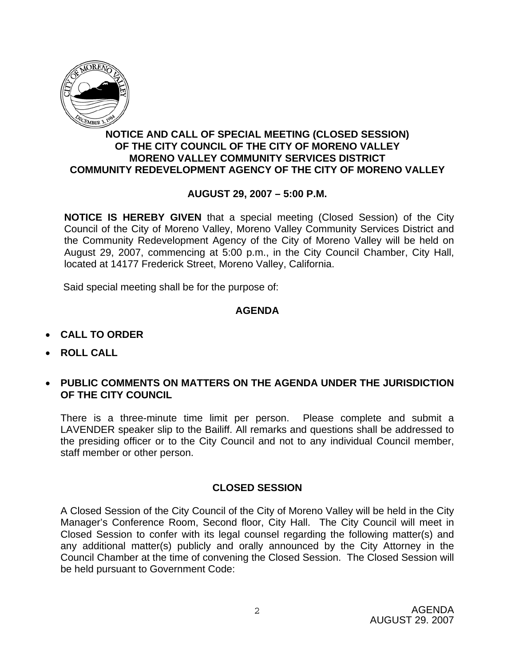

## **NOTICE AND CALL OF SPECIAL MEETING (CLOSED SESSION) OF THE CITY COUNCIL OF THE CITY OF MORENO VALLEY MORENO VALLEY COMMUNITY SERVICES DISTRICT COMMUNITY REDEVELOPMENT AGENCY OF THE CITY OF MORENO VALLEY**

## **AUGUST 29, 2007 – 5:00 P.M.**

**NOTICE IS HEREBY GIVEN** that a special meeting (Closed Session) of the City Council of the City of Moreno Valley, Moreno Valley Community Services District and the Community Redevelopment Agency of the City of Moreno Valley will be held on August 29, 2007, commencing at 5:00 p.m., in the City Council Chamber, City Hall, located at 14177 Frederick Street, Moreno Valley, California.

Said special meeting shall be for the purpose of:

#### **AGENDA**

- **CALL TO ORDER**
- **ROLL CALL**
- **PUBLIC COMMENTS ON MATTERS ON THE AGENDA UNDER THE JURISDICTION OF THE CITY COUNCIL**

There is a three-minute time limit per person. Please complete and submit a LAVENDER speaker slip to the Bailiff. All remarks and questions shall be addressed to the presiding officer or to the City Council and not to any individual Council member, staff member or other person.

#### **CLOSED SESSION**

A Closed Session of the City Council of the City of Moreno Valley will be held in the City Manager's Conference Room, Second floor, City Hall. The City Council will meet in Closed Session to confer with its legal counsel regarding the following matter(s) and any additional matter(s) publicly and orally announced by the City Attorney in the Council Chamber at the time of convening the Closed Session. The Closed Session will be held pursuant to Government Code: